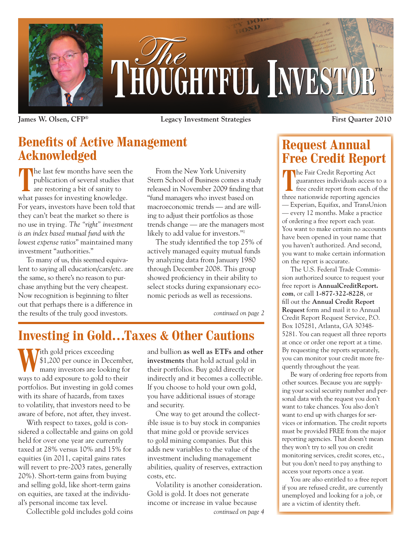

**James W. Olsen, CFP® Legacy Investment Strategies First Quarter 2010**

### **Benefits of Active Management Acknowledged**

The last few months have seen the publication of several studies that are restoring a bit of sanity to what passes for investing knowledge. For years, investors have been told that they can't beat the market so there is no use in trying*. The "right" investment is an index based mutual fund with the lowest expense ratios*" maintained many investment "authorities."

To many of us, this seemed equivalent to saying all education/cars/etc. are the same, so there's no reason to purchase anything but the very cheapest. Now recognition is beginning to filter out that perhaps there is a difference in the results of the truly good investors.

From the New York University Stern School of Business comes a study released in November 2009 finding that "fund managers who invest based on macroeconomic trends — and are willing to adjust their portfolios as those trends change — are the managers most likely to add value for investors."1

The study identified the top 25% of actively managed equity mutual funds by analyzing data from January 1980 through December 2008. This group showed proficiency in their ability to select stocks during expansionary economic periods as well as recessions.

*continued on page 2*

## **Investing in Gold…Taxes & Other Cautions**

**Tith gold prices exceeding** \$1,200 per ounce in December, many investors are looking for ways to add exposure to gold to their portfolios. But investing in gold comes with its share of hazards, from taxes to volatility, that investors need to be aware of before, not after, they invest.

With respect to taxes, gold is considered a collectable and gains on gold held for over one year are currently taxed at 28% versus 10% and 15% for equities (in 2011, capital gains rates will revert to pre-2003 rates, generally 20%). Short-term gains from buying and selling gold, like short-term gains on equities, are taxed at the individual's personal income tax level.

and bullion **as well as ETFs and other investments** that hold actual gold in their portfolios. Buy gold directly or indirectly and it becomes a collectible. If you choose to hold your own gold, you have additional issues of storage and security.

One way to get around the collectible issue is to buy stock in companies that mine gold or provide services to gold mining companies. But this adds new variables to the value of the investment including management abilities, quality of reserves, extraction costs, etc.

Collectible gold includes gold coins *continued on page 4* Volatility is another consideration. Gold is gold. It does not generate income or increase in value because

## **Request Annual Free Credit Report**

The Fair Credit Reporting Act<br>guarantees individuals access the credit report from each of guarantees individuals access to a free credit report from each of the three nationwide reporting agencies — Experian, Equifax, and TransUnion — every 12 months. Make a practice of ordering a free report each year. You want to make certain no accounts have been opened in your name that you haven't authorized. And second, you want to make certain information on the report is accurate.

The U.S. Federal Trade Commission authorized source to request your free report is **AnnualCreditReport. com**, or call **1-877-322-8228**, or fill out the **Annual Credit Report Request** form and mail it to Annual Credit Report Request Service, P.O. Box 105281, Atlanta, GA 30348- 5281. You can request all three reports at once or order one report at a time. By requesting the reports separately, you can monitor your credit more frequently throughout the year.

Be wary of ordering free reports from other sources. Because you are supplying your social security number and personal data with the request you don't want to take chances. You also don't want to end up with charges for services or information. The credit reports must be provided FREE from the major reporting agencies. That doesn't mean they won't try to sell you on credit monitoring services, credit scores, etc., but you don't need to pay anything to access your reports once a year.

You are also entitled to a free report if you are refused credit, are currently unemployed and looking for a job, or are a victim of identity theft.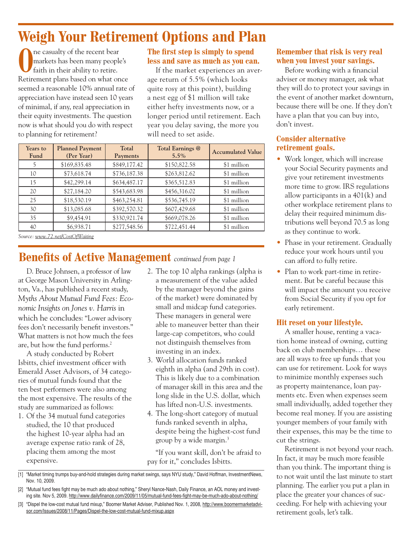# **Weigh Your Retirement Options and Plan**

ne casualty of the recent bear markets has been many people's faith in their ability to retire. Retirement plans based on what once seemed a reasonable 10% annual rate of appreciation have instead seen 10 years of minimal, if any, real appreciation in their equity investments. The question now is what should you do with respect to planning for retirement?

### **The first step is simply to spend less and save as much as you can.**

If the market experiences an average return of 5.5% (which looks quite rosy at this point), building a nest egg of \$1 million will take either hefty investments now, or a longer period until retirement. Each year you delay saving, the more you will need to set aside.

| Years to<br>Fund | <b>Planned Payment</b><br>(Per Year) | Total<br>Payments | Total Earnings @<br>$5.5\%$ | <b>Accumulated Value</b> |
|------------------|--------------------------------------|-------------------|-----------------------------|--------------------------|
| ל                | \$169,835.48                         | \$849,177.42      | \$150,822.58                | \$1 million              |
| 10               | \$73,618.74                          | \$736,187.38      | \$263,812.62                | \$1 million              |
| 15               | \$42,299.14                          | \$634,487.17      | \$365,512.83                | \$1 million              |
| 20               | \$27,184.20                          | \$543,683.98      | \$456,316.02                | \$1 million              |
| 25               | \$18,530.19                          | \$463,254.81      | \$536,745.19                | \$1 million              |
| 30               | \$13,085.68                          | \$392,570.32      | \$607,429.68                | \$1 million              |
| 35               | \$9,454.91                           | \$330,921.74      | \$669,078.26                | \$1 million              |
| 40               | \$6,938.71                           | \$277,548.56      | \$722,451.44                | \$1 million              |

*Source: www.72.net/CostOfWaiting*

### **Benefits of Active Management** *continued from page 1*

D. Bruce Johnsen, a professor of law at George Mason University in Arlington, Va., has published a recent study, *Myths About Mutual Fund Fees: Economic Insights on Jones v. Harris* in which he concludes: "Lower advisory fees don't necessarily benefit investors." What matters is not how much the fees are, but how the fund performs.2

A study conducted by Robert Isbitts, chief investment officer with Emerald Asset Advisors, of 34 categories of mutual funds found that the ten best performers were also among the most expensive. The results of the study are summarized as follows:

1. Of the 34 mutual fund categories studied, the 10 that produced the highest 10-year alpha had an average expense ratio rank of 28, placing them among the most expensive.

- 2. The top 10 alpha rankings (alpha is a measurement of the value added by the manager beyond the gains of the market) were dominated by small and midcap fund categories. These managers in general were able to maneuver better than their large-cap competitors, who could not distinguish themselves from investing in an index.
- 3. World allocation funds ranked eighth in alpha (and 29th in cost). This is likely due to a combination of manager skill in this area and the long slide in the U.S. dollar, which has lifted non-U.S. investments.
- 4. The long-short category of mutual funds ranked seventh in alpha, despite being the highest-cost fund group by a wide margin.3

"If you want skill, don't be afraid to pay for it," concludes Isbitts.

### **Remember that risk is very real when you invest your savings.**

Before working with a financial adviser or money manager, ask what they will do to protect your savings in the event of another market downturn, because there will be one. If they don't have a plan that you can buy into, don't invest.

#### **Consider alternative retirement goals.**

- Work longer, which will increase your Social Security payments and give your retirement investments more time to grow. IRS regulations allow participants in a 401(k) and other workplace retirement plans to delay their required minimum distributions well beyond 70.5 as long as they continue to work.
- Phase in your retirement. Gradually reduce your work hours until you can afford to fully retire.
- Plan to work part-time in retirement. But be careful because this will impact the amount you receive from Social Security if you opt for early retirement.

#### **Hit reset on your lifestyle.**

A smaller house, renting a vacation home instead of owning, cutting back on club memberships… these are all ways to free up funds that you can use for retirement. Look for ways to minimize monthly expenses such as property maintenance, loan payments etc. Even when expenses seem small individually, added together they become real money. If you are assisting younger members of your family with their expenses, this may be the time to cut the strings.

Retirement is not beyond your reach. In fact, it may be much more feasible than you think. The important thing is to not wait until the last minute to start planning. The earlier you put a plan in place the greater your chances of succeeding. For help with achieving your retirement goals, let's talk.

<sup>[1] &</sup>quot;Market timing trumps buy-and-hold strategies during market swings, says NYU study," David Hoffman, InvestmentNews, Nov. 10, 2009.

<sup>[2] &</sup>quot;Mutual fund fees fight may be much ado about nothing," Sheryl Nance-Nash, Daily Finance, an AOL money and investing site. Nov 5, 2009. http://www.dailyfinance.com/2009/11/05/mutual-fund-fees-fight-may-be-much-ado-about-nothing/

<sup>[3] &</sup>quot;Dispel the low-cost mutual fund mixup," Boomer Market Adviser, Published Nov. 1, 2008, http://www.boomermarketadvisor.com/Issues/2008/11/Pages/Dispel-the-low-cost-mutual-fund-mixup.aspx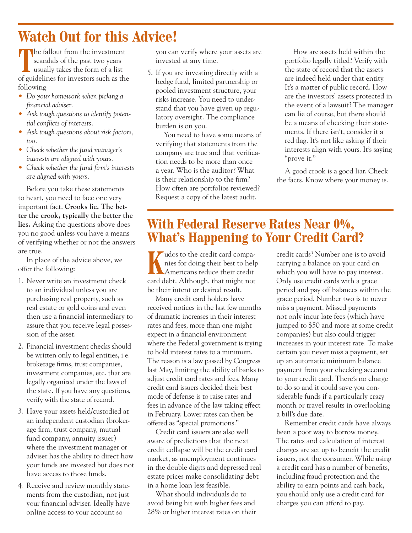## **Watch Out for this Advice!**

The fallout from the investment<br>scandals of the past two years<br>usually takes the form of a list scandals of the past two years usually takes the form of a list of guidelines for investors such as the following:

- • *Do your homework when picking a financial adviser.*
- • *Ask tough questions to identify potential conflicts of interests.*
- • *Ask tough questions about risk factors, too.*
- • *Check whether the fund manager's interests are aligned with yours.*
- • *Check whether the fund firm's interests are aligned with yours.*

Before you take these statements to heart, you need to face one very important fact. **Crooks lie. The better the crook, typically the better the lies.** Asking the questions above does you no good unless you have a means of verifying whether or not the answers are true.

In place of the advice above, we offer the following:

- 1. Never write an investment check to an individual unless you are purchasing real property, such as real estate or gold coins and even then use a financial intermediary to assure that you receive legal possession of the asset.
- 2. Financial investment checks should be written only to legal entities, i.e. brokerage firms, trust companies, investment companies, etc. that are legally organized under the laws of the state. If you have any questions, verify with the state of record.
- 3. Have your assets held/custodied at an independent custodian (brokerage firm, trust company, mutual fund company, annuity issuer) where the investment manager or adviser has the ability to direct how your funds are invested but does not have access to those funds.
- 4. Receive and review monthly statements from the custodian, not just your financial adviser. Ideally have online access to your account so

you can verify where your assets are invested at any time.

5. If you are investing directly with a hedge fund, limited partnership or pooled investment structure, your risks increase. You need to understand that you have given up regulatory oversight. The compliance burden is on you.

You need to have some means of verifying that statements from the company are true and that verification needs to be more than once a year. Who is the auditor? What is their relationship to the firm? How often are portfolios reviewed? Request a copy of the latest audit.

How are assets held within the portfolio legally titled? Verify with the state of record that the assets are indeed held under that entity. It's a matter of public record. How are the investors' assets protected in the event of a lawsuit? The manager can lie of course, but there should be a means of checking their statements. If there isn't, consider it a red flag. It's not like asking if their interests align with yours. It's saying "prove it."

A good crook is a good liar. Check the facts. Know where your money is.

## **With Federal Reserve Rates Near 0%, What's Happening to Your Credit Card?**

**K**udos to the credit card companies for doing their best to help Americans reduce their credit card debt. Although, that might not be their intent or desired result.

Many credit card holders have received notices in the last few months of dramatic increases in their interest rates and fees, more than one might expect in a financial environment where the Federal government is trying to hold interest rates to a minimum. The reason is a law passed by Congress last May, limiting the ability of banks to adjust credit card rates and fees. Many credit card issuers decided their best mode of defense is to raise rates and fees in advance of the law taking effect in February. Lower rates can then be offered as "special promotions."

Credit card issuers are also well aware of predictions that the next credit collapse will be the credit card market, as unemployment continues in the double digits and depressed real estate prices make consolidating debt in a home loan less feasible.

What should individuals do to avoid being hit with higher fees and 28% or higher interest rates on their credit cards? Number one is to avoid carrying a balance on your card on which you will have to pay interest. Only use credit cards with a grace period and pay off balances within the grace period. Number two is to never miss a payment. Missed payments not only incur late fees (which have jumped to \$50 and more at some credit companies) but also could trigger increases in your interest rate. To make certain you never miss a payment, set up an automatic minimum balance payment from your checking account to your credit card. There's no charge to do so and it could save you considerable funds if a particularly crazy month or travel results in overlooking a bill's due date.

Remember credit cards have always been a poor way to borrow money. The rates and calculation of interest charges are set up to benefit the credit issuers, not the consumer. While using a credit card has a number of benefits, including fraud protection and the ability to earn points and cash back, you should only use a credit card for charges you can afford to pay.